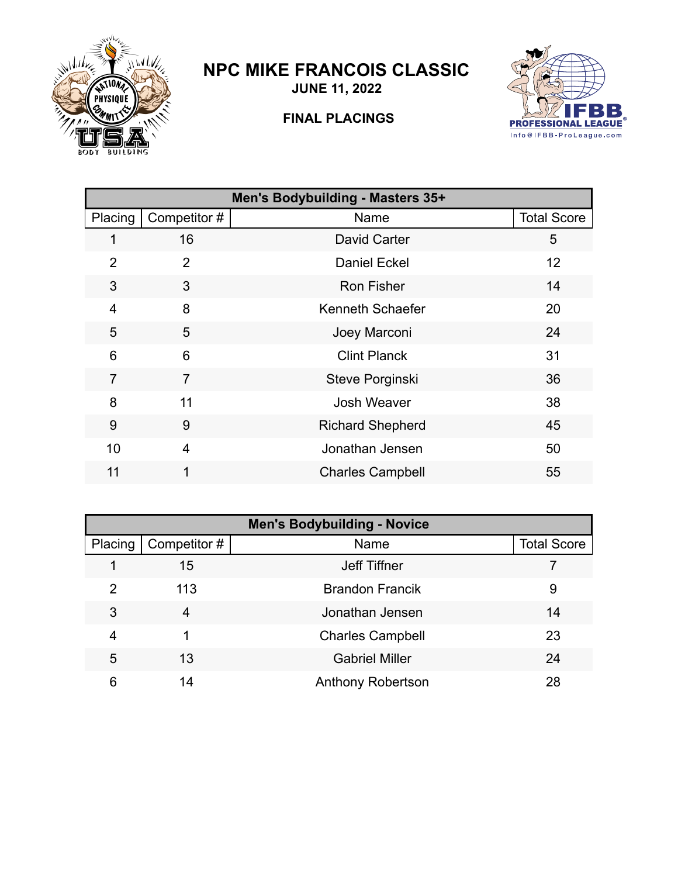

## **NPC MIKE FRANCOIS CLASSIC**

**JUNE 11, 2022**



## **FINAL PLACINGS**

| Men's Bodybuilding - Masters 35+ |                |                         |                    |  |
|----------------------------------|----------------|-------------------------|--------------------|--|
| Placing                          | Competitor#    | Name                    | <b>Total Score</b> |  |
| 1                                | 16             | David Carter            | 5                  |  |
| $\overline{2}$                   | 2              | <b>Daniel Eckel</b>     | 12                 |  |
| 3                                | 3              | <b>Ron Fisher</b>       | 14                 |  |
| $\overline{4}$                   | 8              | Kenneth Schaefer        | 20                 |  |
| 5                                | 5              | Joey Marconi            | 24                 |  |
| 6                                | 6              | <b>Clint Planck</b>     | 31                 |  |
| $\overline{7}$                   | 7              | Steve Porginski         | 36                 |  |
| 8                                | 11             | Josh Weaver             | 38                 |  |
| 9                                | 9              | <b>Richard Shepherd</b> | 45                 |  |
| 10                               | $\overline{4}$ | Jonathan Jensen         | 50                 |  |
| 11                               |                | <b>Charles Campbell</b> | 55                 |  |
|                                  |                |                         |                    |  |

| <b>Men's Bodybuilding - Novice</b> |             |                          |                    |  |
|------------------------------------|-------------|--------------------------|--------------------|--|
| Placing                            | Competitor# | Name                     | <b>Total Score</b> |  |
|                                    | 15          | Jeff Tiffner             |                    |  |
| 2                                  | 113         | <b>Brandon Francik</b>   | 9                  |  |
| 3                                  | 4           | Jonathan Jensen          | 14                 |  |
| 4                                  |             | <b>Charles Campbell</b>  | 23                 |  |
| 5                                  | 13          | <b>Gabriel Miller</b>    | 24                 |  |
| 6                                  | 14          | <b>Anthony Robertson</b> | 28                 |  |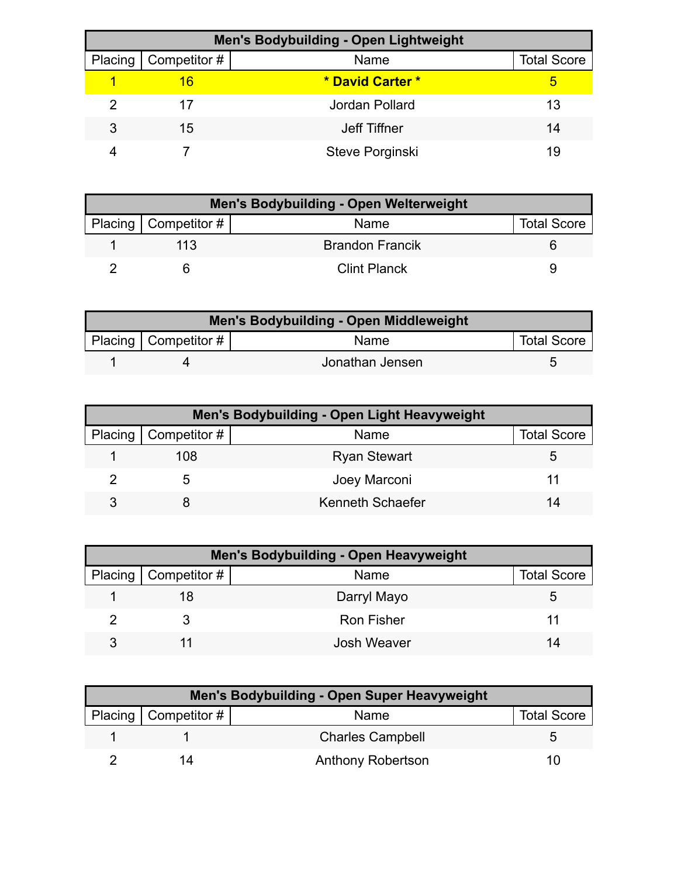| <b>Men's Bodybuilding - Open Lightweight</b> |                        |                  |                    |  |
|----------------------------------------------|------------------------|------------------|--------------------|--|
|                                              | Placing   Competitor # | Name             | <b>Total Score</b> |  |
|                                              | 16                     | * David Carter * | 5                  |  |
|                                              | 17                     | Jordan Pollard   | 13                 |  |
| 3                                            | 15                     | Jeff Tiffner     | 14                 |  |
|                                              |                        | Steve Porginski  | 19                 |  |

| <b>Men's Bodybuilding - Open Welterweight</b> |                        |                        |                    |  |
|-----------------------------------------------|------------------------|------------------------|--------------------|--|
|                                               | Placing   Competitor # | Name                   | <b>Total Score</b> |  |
|                                               | 113                    | <b>Brandon Francik</b> |                    |  |
|                                               |                        | <b>Clint Planck</b>    |                    |  |

| Men's Bodybuilding - Open Middleweight |                        |                 |                    |  |
|----------------------------------------|------------------------|-----------------|--------------------|--|
|                                        | Placing   Competitor # | <b>Name</b>     | <b>Total Score</b> |  |
|                                        |                        | Jonathan Jensen |                    |  |

| Men's Bodybuilding - Open Light Heavyweight |                     |                    |  |  |
|---------------------------------------------|---------------------|--------------------|--|--|
| Placing   Competitor #                      | Name                | <b>Total Score</b> |  |  |
| 108                                         | <b>Ryan Stewart</b> | b                  |  |  |
| .5                                          | Joey Marconi        |                    |  |  |
|                                             | Kenneth Schaefer    | 14                 |  |  |

| Men's Bodybuilding - Open Heavyweight |                        |                   |                    |  |
|---------------------------------------|------------------------|-------------------|--------------------|--|
|                                       | Placing   Competitor # | Name              | <b>Total Score</b> |  |
|                                       |                        | Darryl Mayo       | b                  |  |
|                                       |                        | <b>Ron Fisher</b> |                    |  |
|                                       |                        | Josh Weaver       |                    |  |

| <b>Men's Bodybuilding - Open Super Heavyweight</b> |                        |                          |                    |  |
|----------------------------------------------------|------------------------|--------------------------|--------------------|--|
|                                                    | Placing   Competitor # | Name                     | <b>Total Score</b> |  |
|                                                    |                        | <b>Charles Campbell</b>  |                    |  |
|                                                    |                        | <b>Anthony Robertson</b> |                    |  |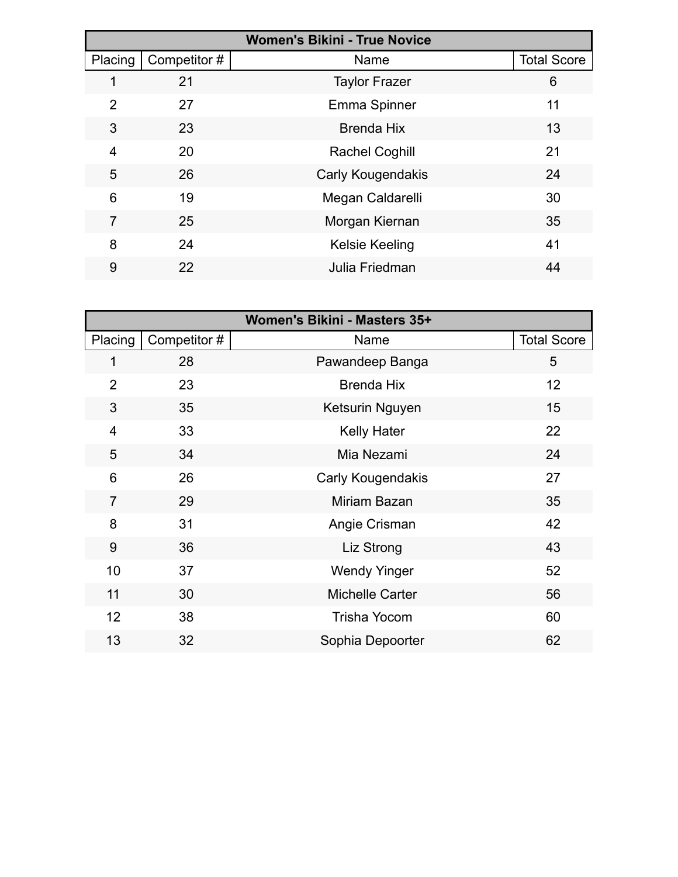|                | <b>Women's Bikini - True Novice</b> |                       |                    |  |  |
|----------------|-------------------------------------|-----------------------|--------------------|--|--|
| Placing        | Competitor#                         | Name                  | <b>Total Score</b> |  |  |
| 1              | 21                                  | <b>Taylor Frazer</b>  | 6                  |  |  |
| 2              | 27                                  | Emma Spinner          | 11                 |  |  |
| 3              | 23                                  | <b>Brenda Hix</b>     | 13                 |  |  |
| $\overline{4}$ | 20                                  | <b>Rachel Coghill</b> | 21                 |  |  |
| 5              | 26                                  | Carly Kougendakis     | 24                 |  |  |
| 6              | 19                                  | Megan Caldarelli      | 30                 |  |  |
| 7              | 25                                  | Morgan Kiernan        | 35                 |  |  |
| 8              | 24                                  | <b>Kelsie Keeling</b> | 41                 |  |  |
| 9              | 22                                  | Julia Friedman        | 44                 |  |  |

|                |             | Women's Bikini - Masters 35+ |                    |
|----------------|-------------|------------------------------|--------------------|
| Placing        | Competitor# | Name                         | <b>Total Score</b> |
| 1              | 28          | Pawandeep Banga              | 5                  |
| $\overline{2}$ | 23          | <b>Brenda Hix</b>            | 12 <sup>2</sup>    |
| 3              | 35          | Ketsurin Nguyen              | 15                 |
| $\overline{4}$ | 33          | <b>Kelly Hater</b>           | 22                 |
| 5              | 34          | Mia Nezami                   | 24                 |
| 6              | 26          | Carly Kougendakis            | 27                 |
| $\overline{7}$ | 29          | Miriam Bazan                 | 35                 |
| 8              | 31          | Angie Crisman                | 42                 |
| 9              | 36          | Liz Strong                   | 43                 |
| 10             | 37          | <b>Wendy Yinger</b>          | 52                 |
| 11             | 30          | Michelle Carter              | 56                 |
| 12             | 38          | <b>Trisha Yocom</b>          | 60                 |
| 13             | 32          | Sophia Depoorter             | 62                 |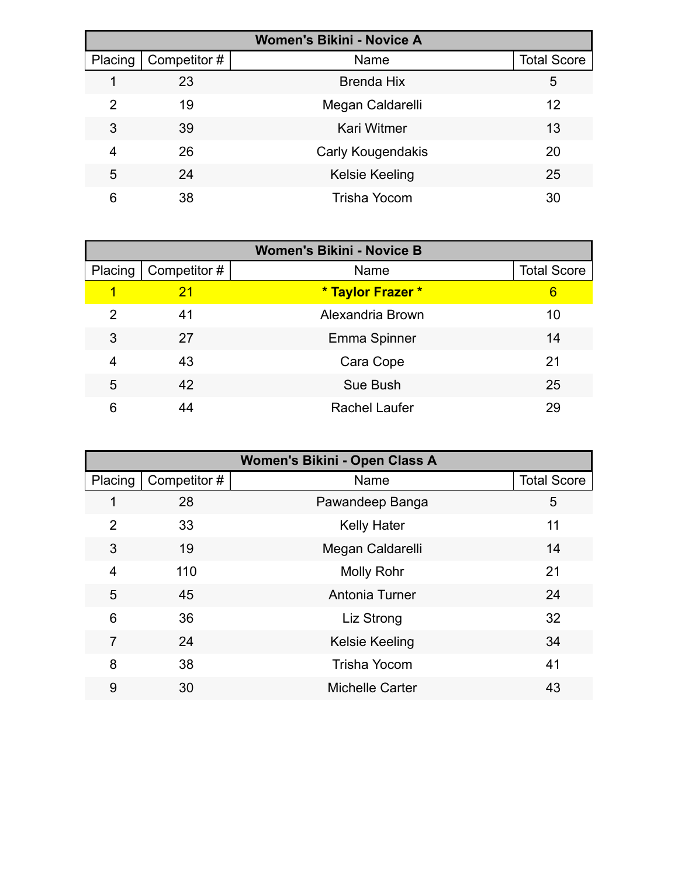| <b>Women's Bikini - Novice A</b> |              |                       |                    |  |
|----------------------------------|--------------|-----------------------|--------------------|--|
| Placing                          | Competitor # | Name                  | <b>Total Score</b> |  |
|                                  | 23           | <b>Brenda Hix</b>     | 5                  |  |
| 2                                | 19           | Megan Caldarelli      | 12                 |  |
| 3                                | 39           | <b>Kari Witmer</b>    | 13                 |  |
| 4                                | 26           | Carly Kougendakis     | 20                 |  |
| 5                                | 24           | <b>Kelsie Keeling</b> | 25                 |  |
| 6                                | 38           | Trisha Yocom          | 30                 |  |

| <b>Women's Bikini - Novice B</b> |              |                      |                    |  |
|----------------------------------|--------------|----------------------|--------------------|--|
| Placing                          | Competitor # | Name                 | <b>Total Score</b> |  |
| 1                                | 21           | * Taylor Frazer *    | 6                  |  |
| 2                                | 41           | Alexandria Brown     | 10                 |  |
| 3                                | 27           | Emma Spinner         | 14                 |  |
| 4                                | 43           | Cara Cope            | 21                 |  |
| 5                                | 42           | Sue Bush             | 25                 |  |
| 6                                | 44           | <b>Rachel Laufer</b> | 29                 |  |

| Women's Bikini - Open Class A |             |                        |                    |  |
|-------------------------------|-------------|------------------------|--------------------|--|
| Placing                       | Competitor# | Name                   | <b>Total Score</b> |  |
|                               | 28          | Pawandeep Banga        | 5                  |  |
| $\overline{2}$                | 33          | <b>Kelly Hater</b>     | 11                 |  |
| 3                             | 19          | Megan Caldarelli       | 14                 |  |
| 4                             | 110         | <b>Molly Rohr</b>      | 21                 |  |
| 5                             | 45          | Antonia Turner         | 24                 |  |
| 6                             | 36          | Liz Strong             | 32                 |  |
| 7                             | 24          | <b>Kelsie Keeling</b>  | 34                 |  |
| 8                             | 38          | <b>Trisha Yocom</b>    | 41                 |  |
| 9                             | 30          | <b>Michelle Carter</b> | 43                 |  |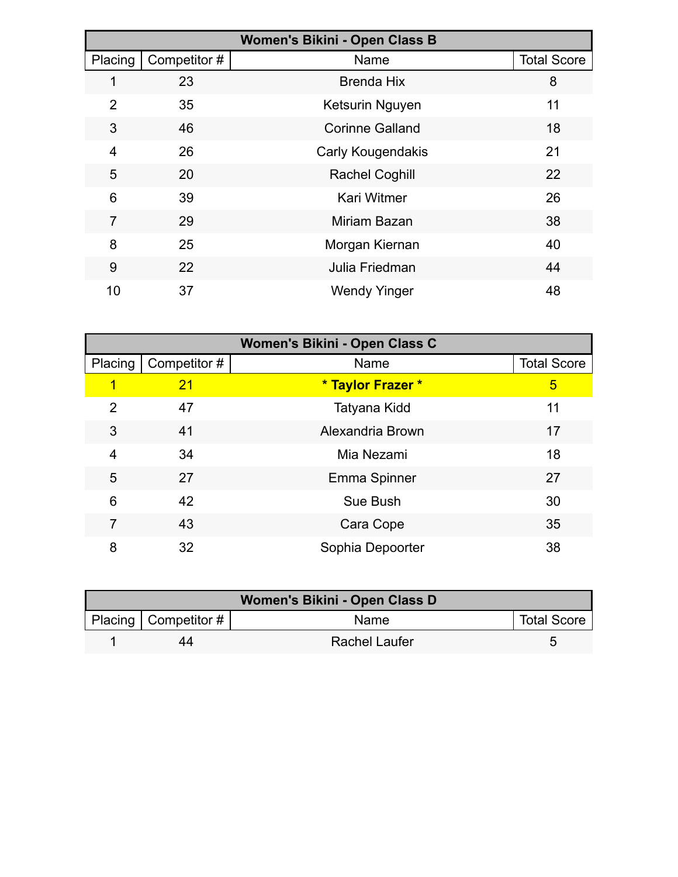| Women's Bikini - Open Class B |             |                        |                    |  |
|-------------------------------|-------------|------------------------|--------------------|--|
| Placing                       | Competitor# | Name                   | <b>Total Score</b> |  |
|                               | 23          | <b>Brenda Hix</b>      | 8                  |  |
| 2                             | 35          | Ketsurin Nguyen        | 11                 |  |
| 3                             | 46          | <b>Corinne Galland</b> | 18                 |  |
| 4                             | 26          | Carly Kougendakis      | 21                 |  |
| 5                             | 20          | <b>Rachel Coghill</b>  | 22                 |  |
| 6                             | 39          | <b>Kari Witmer</b>     | 26                 |  |
| 7                             | 29          | Miriam Bazan           | 38                 |  |
| 8                             | 25          | Morgan Kiernan         | 40                 |  |
| 9                             | 22          | Julia Friedman         | 44                 |  |
| 10                            | 37          | <b>Wendy Yinger</b>    | 48                 |  |

| Women's Bikini - Open Class C |              |                   |                    |
|-------------------------------|--------------|-------------------|--------------------|
| Placing                       | Competitor # | Name              | <b>Total Score</b> |
| 1                             | 21           | * Taylor Frazer * | 5                  |
| $\overline{2}$                | 47           | Tatyana Kidd      | 11                 |
| 3                             | 41           | Alexandria Brown  | 17                 |
| 4                             | 34           | Mia Nezami        | 18                 |
| 5                             | 27           | Emma Spinner      | 27                 |
| 6                             | 42           | Sue Bush          | 30                 |
| 7                             | 43           | Cara Cope         | 35                 |
| 8                             | 32           | Sophia Depoorter  | 38                 |

| Women's Bikini - Open Class D |                           |                      |                    |  |
|-------------------------------|---------------------------|----------------------|--------------------|--|
|                               | Placing   Competitor $\#$ | <b>Name</b>          | <b>Total Score</b> |  |
|                               | 44                        | <b>Rachel Laufer</b> |                    |  |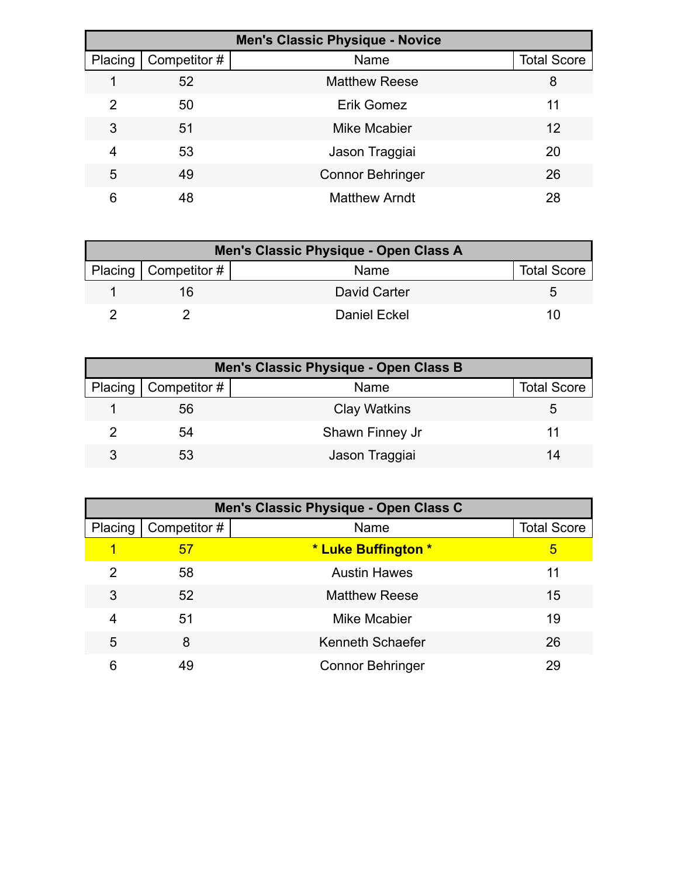| <b>Men's Classic Physique - Novice</b> |             |                         |                    |  |
|----------------------------------------|-------------|-------------------------|--------------------|--|
| Placing                                | Competitor# | Name                    | <b>Total Score</b> |  |
|                                        | 52          | <b>Matthew Reese</b>    | 8                  |  |
| 2                                      | 50          | Erik Gomez              | 11                 |  |
| 3                                      | 51          | Mike Mcabier            | 12                 |  |
| 4                                      | 53          | Jason Traggiai          | 20                 |  |
| 5                                      | 49          | <b>Connor Behringer</b> | 26                 |  |
| 6                                      | 48          | <b>Matthew Arndt</b>    | 28                 |  |

| Men's Classic Physique - Open Class A |              |                    |  |  |
|---------------------------------------|--------------|--------------------|--|--|
| Placing   Competitor #                | Name         | <b>Total Score</b> |  |  |
| 16                                    | David Carter |                    |  |  |
|                                       | Daniel Eckel | 10                 |  |  |

| Men's Classic Physique - Open Class B |                        |                     |                    |  |
|---------------------------------------|------------------------|---------------------|--------------------|--|
|                                       | Placing   Competitor # | Name                | <b>Total Score</b> |  |
|                                       | 56                     | <b>Clay Watkins</b> | b                  |  |
|                                       | 54                     | Shawn Finney Jr     |                    |  |
| 3                                     | 53                     | Jason Traggiai      | 14                 |  |

| Men's Classic Physique - Open Class C |             |                         |                    |  |
|---------------------------------------|-------------|-------------------------|--------------------|--|
| Placing                               | Competitor# | Name                    | <b>Total Score</b> |  |
|                                       | 57          | * Luke Buffington *     | 5                  |  |
| 2                                     | 58          | <b>Austin Hawes</b>     | 11                 |  |
| 3                                     | 52          | <b>Matthew Reese</b>    | 15                 |  |
| 4                                     | 51          | Mike Mcabier            | 19                 |  |
| 5                                     | 8           | Kenneth Schaefer        | 26                 |  |
| 6                                     | 49          | <b>Connor Behringer</b> | 29                 |  |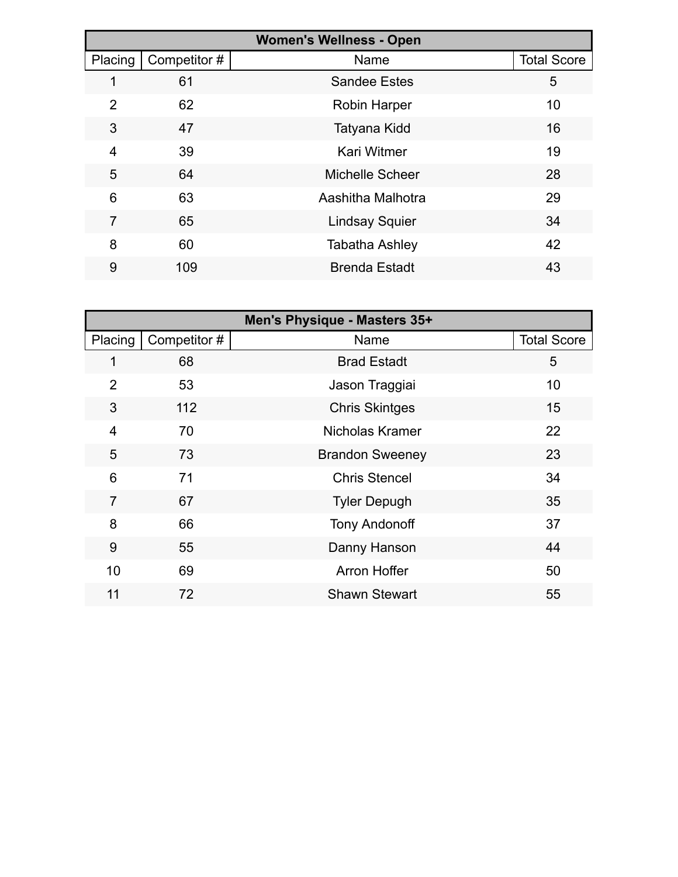| <b>Women's Wellness - Open</b> |             |                        |                    |  |
|--------------------------------|-------------|------------------------|--------------------|--|
| Placing                        | Competitor# | Name                   | <b>Total Score</b> |  |
| 1                              | 61          | <b>Sandee Estes</b>    | 5                  |  |
| $\overline{2}$                 | 62          | <b>Robin Harper</b>    | 10                 |  |
| 3                              | 47          | Tatyana Kidd           | 16                 |  |
| 4                              | 39          | <b>Kari Witmer</b>     | 19                 |  |
| 5                              | 64          | <b>Michelle Scheer</b> | 28                 |  |
| 6                              | 63          | Aashitha Malhotra      | 29                 |  |
| 7                              | 65          | <b>Lindsay Squier</b>  | 34                 |  |
| 8                              | 60          | <b>Tabatha Ashley</b>  | 42                 |  |
| 9                              | 109         | <b>Brenda Estadt</b>   | 43                 |  |

| Men's Physique - Masters 35+ |             |                        |                    |
|------------------------------|-------------|------------------------|--------------------|
| Placing                      | Competitor# | Name                   | <b>Total Score</b> |
|                              | 68          | <b>Brad Estadt</b>     | 5                  |
| $\overline{2}$               | 53          | Jason Traggiai         | 10                 |
| 3                            | 112         | <b>Chris Skintges</b>  | 15                 |
| $\overline{4}$               | 70          | Nicholas Kramer        | 22                 |
| 5                            | 73          | <b>Brandon Sweeney</b> | 23                 |
| 6                            | 71          | <b>Chris Stencel</b>   | 34                 |
| $\overline{7}$               | 67          | <b>Tyler Depugh</b>    | 35                 |
| 8                            | 66          | <b>Tony Andonoff</b>   | 37                 |
| 9                            | 55          | Danny Hanson           | 44                 |
| 10                           | 69          | <b>Arron Hoffer</b>    | 50                 |
| 11                           | 72          | <b>Shawn Stewart</b>   | 55                 |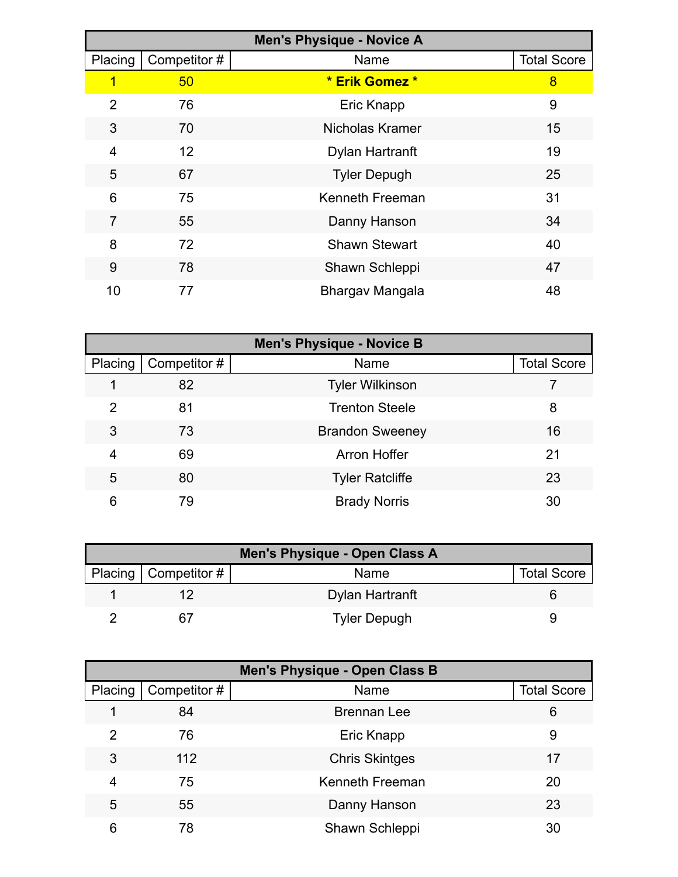| <b>Men's Physique - Novice A</b> |             |                      |                    |  |
|----------------------------------|-------------|----------------------|--------------------|--|
| Placing                          | Competitor# | Name                 | <b>Total Score</b> |  |
| 1                                | 50          | * Erik Gomez *       | 8                  |  |
| $\overline{2}$                   | 76          | Eric Knapp           | 9                  |  |
| 3                                | 70          | Nicholas Kramer      | 15                 |  |
| 4                                | 12          | Dylan Hartranft      | 19                 |  |
| 5                                | 67          | <b>Tyler Depugh</b>  | 25                 |  |
| 6                                | 75          | Kenneth Freeman      | 31                 |  |
| $\overline{7}$                   | 55          | Danny Hanson         | 34                 |  |
| 8                                | 72          | <b>Shawn Stewart</b> | 40                 |  |
| 9                                | 78          | Shawn Schleppi       | 47                 |  |
| 10                               | 77          | Bhargav Mangala      | 48                 |  |

| <b>Men's Physique - Novice B</b> |             |                        |                    |  |
|----------------------------------|-------------|------------------------|--------------------|--|
| Placing                          | Competitor# | Name                   | <b>Total Score</b> |  |
|                                  | 82          | <b>Tyler Wilkinson</b> |                    |  |
| 2                                | 81          | <b>Trenton Steele</b>  | 8                  |  |
| 3                                | 73          | <b>Brandon Sweeney</b> | 16                 |  |
| 4                                | 69          | Arron Hoffer           | 21                 |  |
| 5                                | 80          | <b>Tyler Ratcliffe</b> | 23                 |  |
| 6                                | 79          | <b>Brady Norris</b>    | 30                 |  |

| Men's Physique - Open Class A |                        |                     |                    |  |  |
|-------------------------------|------------------------|---------------------|--------------------|--|--|
|                               | Placing   Competitor # | <b>Name</b>         | <b>Total Score</b> |  |  |
|                               |                        | Dylan Hartranft     |                    |  |  |
|                               |                        | <b>Tyler Depugh</b> |                    |  |  |

| <b>Men's Physique - Open Class B</b> |             |                       |                    |  |  |
|--------------------------------------|-------------|-----------------------|--------------------|--|--|
| Placing                              | Competitor# | Name                  | <b>Total Score</b> |  |  |
|                                      | 84          | Brennan Lee           | 6                  |  |  |
| 2                                    | 76          | Eric Knapp            | 9                  |  |  |
| 3                                    | 112         | <b>Chris Skintges</b> | 17                 |  |  |
| 4                                    | 75          | Kenneth Freeman       | 20                 |  |  |
| 5                                    | 55          | Danny Hanson          | 23                 |  |  |
| 6                                    | 78          | Shawn Schleppi        | 30                 |  |  |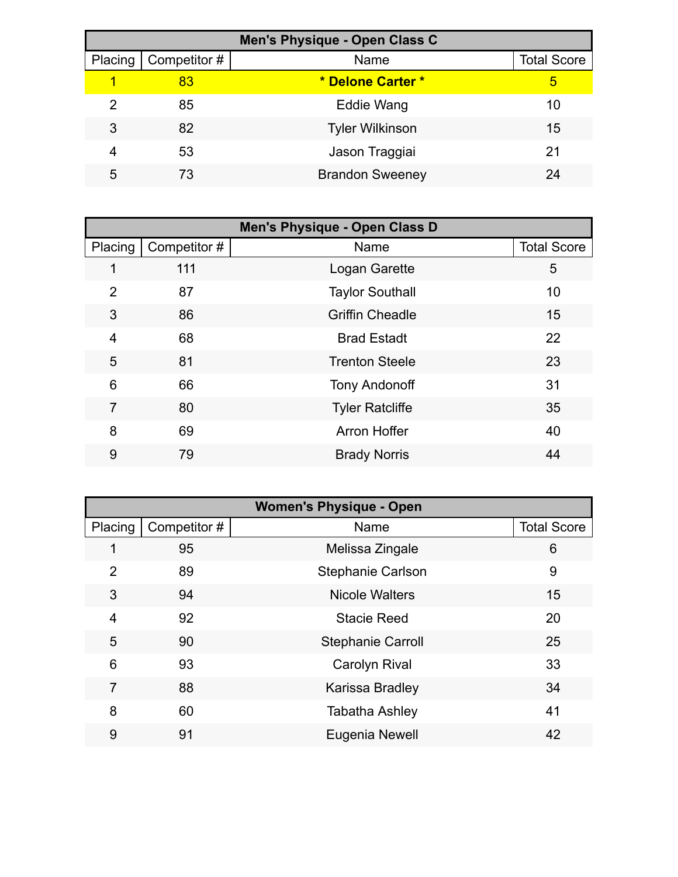| Men's Physique - Open Class C |             |                        |                    |  |  |
|-------------------------------|-------------|------------------------|--------------------|--|--|
| Placing                       | Competitor# | Name                   | <b>Total Score</b> |  |  |
|                               | 83          | * Delone Carter *      | 5                  |  |  |
| 2                             | 85          | Eddie Wang             | 10                 |  |  |
| 3                             | 82          | <b>Tyler Wilkinson</b> | 15                 |  |  |
|                               | 53          | Jason Traggiai         | 21                 |  |  |
| 5                             | 73          | <b>Brandon Sweeney</b> | 24                 |  |  |

| Men's Physique - Open Class D |             |                        |                    |  |  |
|-------------------------------|-------------|------------------------|--------------------|--|--|
| Placing                       | Competitor# | Name                   | <b>Total Score</b> |  |  |
| 1                             | 111         | Logan Garette          | 5                  |  |  |
| $\overline{2}$                | 87          | <b>Taylor Southall</b> | 10                 |  |  |
| 3                             | 86          | <b>Griffin Cheadle</b> | 15                 |  |  |
| 4                             | 68          | <b>Brad Estadt</b>     | 22                 |  |  |
| 5                             | 81          | <b>Trenton Steele</b>  | 23                 |  |  |
| 6                             | 66          | <b>Tony Andonoff</b>   | 31                 |  |  |
| 7                             | 80          | <b>Tyler Ratcliffe</b> | 35                 |  |  |
| 8                             | 69          | <b>Arron Hoffer</b>    | 40                 |  |  |
| 9                             | 79          | <b>Brady Norris</b>    | 44                 |  |  |

| <b>Women's Physique - Open</b> |             |                          |                    |  |  |
|--------------------------------|-------------|--------------------------|--------------------|--|--|
| Placing                        | Competitor# | Name                     | <b>Total Score</b> |  |  |
| 1                              | 95          | Melissa Zingale          | 6                  |  |  |
| $\overline{2}$                 | 89          | <b>Stephanie Carlson</b> | 9                  |  |  |
| 3                              | 94          | <b>Nicole Walters</b>    | 15                 |  |  |
| 4                              | 92          | <b>Stacie Reed</b>       | 20                 |  |  |
| 5                              | 90          | <b>Stephanie Carroll</b> | 25                 |  |  |
| 6                              | 93          | <b>Carolyn Rival</b>     | 33                 |  |  |
| 7                              | 88          | Karissa Bradley          | 34                 |  |  |
| 8                              | 60          | <b>Tabatha Ashley</b>    | 41                 |  |  |
| 9                              | 91          | Eugenia Newell           | 42                 |  |  |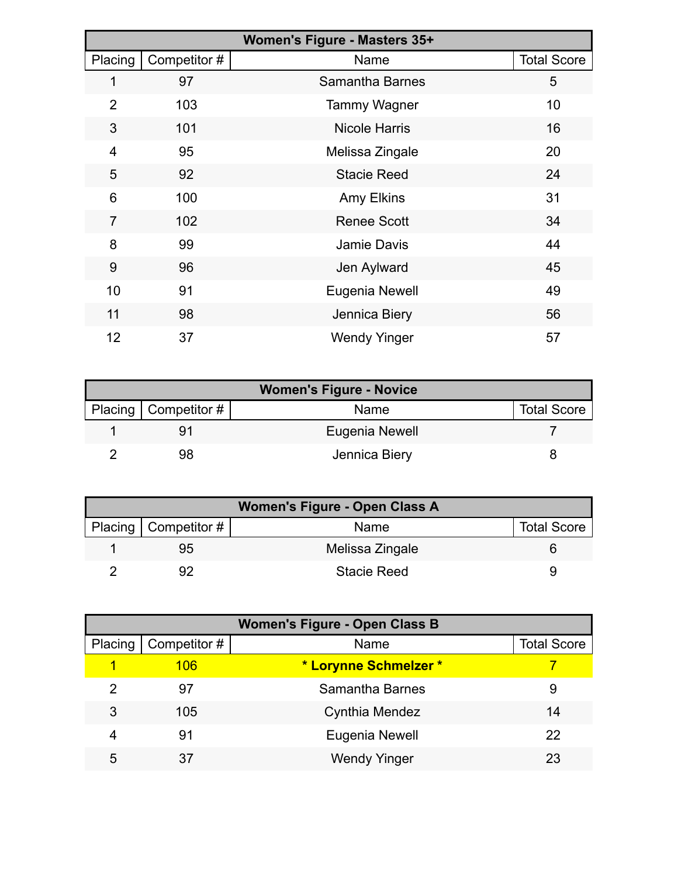| Women's Figure - Masters 35+ |             |                      |                    |  |  |
|------------------------------|-------------|----------------------|--------------------|--|--|
| Placing                      | Competitor# | Name                 | <b>Total Score</b> |  |  |
| 1                            | 97          | Samantha Barnes      | 5                  |  |  |
| $\overline{2}$               | 103         | <b>Tammy Wagner</b>  | 10                 |  |  |
| 3                            | 101         | <b>Nicole Harris</b> | 16                 |  |  |
| $\overline{4}$               | 95          | Melissa Zingale      | 20                 |  |  |
| 5                            | 92          | <b>Stacie Reed</b>   | 24                 |  |  |
| 6                            | 100         | <b>Amy Elkins</b>    | 31                 |  |  |
| $\overline{7}$               | 102         | <b>Renee Scott</b>   | 34                 |  |  |
| 8                            | 99          | Jamie Davis          | 44                 |  |  |
| 9                            | 96          | Jen Aylward          | 45                 |  |  |
| 10                           | 91          | Eugenia Newell       | 49                 |  |  |
| 11                           | 98          | Jennica Biery        | 56                 |  |  |
| 12                           | 37          | <b>Wendy Yinger</b>  | 57                 |  |  |

| <b>Women's Figure - Novice</b> |                        |                |                    |  |  |
|--------------------------------|------------------------|----------------|--------------------|--|--|
|                                | Placing   Competitor # | Name           | <b>Total Score</b> |  |  |
|                                |                        | Eugenia Newell |                    |  |  |
|                                | 98                     | Jennica Biery  |                    |  |  |

| Women's Figure - Open Class A |                        |                    |                    |  |  |
|-------------------------------|------------------------|--------------------|--------------------|--|--|
|                               | Placing   Competitor # | Name               | <b>Total Score</b> |  |  |
|                               | 95                     | Melissa Zingale    |                    |  |  |
|                               |                        | <b>Stacie Reed</b> |                    |  |  |

| <b>Women's Figure - Open Class B</b> |             |                       |                    |  |  |
|--------------------------------------|-------------|-----------------------|--------------------|--|--|
| Placing                              | Competitor# | Name                  | <b>Total Score</b> |  |  |
|                                      | 106         | * Lorynne Schmelzer * |                    |  |  |
| 2                                    | 97          | Samantha Barnes       | 9                  |  |  |
| 3                                    | 105         | Cynthia Mendez        | 14                 |  |  |
| 4                                    | 91          | Eugenia Newell        | 22                 |  |  |
| 5                                    | 37          | <b>Wendy Yinger</b>   | 23                 |  |  |